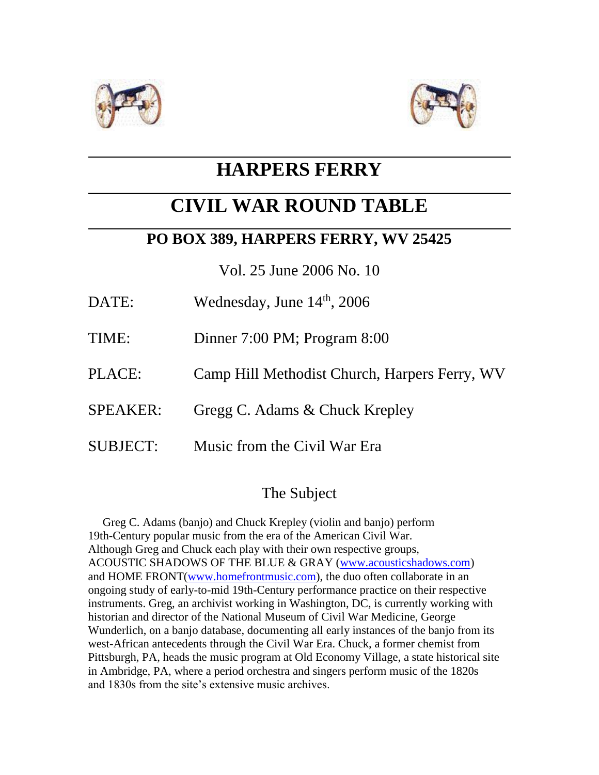



# **HARPERS FERRY**

# **CIVIL WAR ROUND TABLE**

## **PO BOX 389, HARPERS FERRY, WV 25425**

Vol. 25 June 2006 No. 10

- DATE: Wednesday, June 14<sup>th</sup>, 2006
- TIME: Dinner 7:00 PM; Program 8:00
- PLACE: Camp Hill Methodist Church, Harpers Ferry, WV
- SPEAKER: Gregg C. Adams & Chuck Krepley
- SUBJECT: Music from the Civil War Era

### The Subject

 Greg C. Adams (banjo) and Chuck Krepley (violin and banjo) perform 19th-Century popular music from the era of the American Civil War. Although Greg and Chuck each play with their own respective groups, ACOUSTIC SHADOWS OF THE BLUE & GRAY [\(www.acousticshadows.com\)](http://www.acousticshadows.com/) and HOME FRONT[\(www.homefrontmusic.com\)](http://www.homefrontmusic.com/), the duo often collaborate in an ongoing study of early-to-mid 19th-Century performance practice on their respective instruments. Greg, an archivist working in Washington, DC, is currently working with historian and director of the National Museum of Civil War Medicine, George Wunderlich, on a banjo database, documenting all early instances of the banjo from its west-African antecedents through the Civil War Era. Chuck, a former chemist from Pittsburgh, PA, heads the music program at Old Economy Village, a state historical site in Ambridge, PA, where a period orchestra and singers perform music of the 1820s and 1830s from the site's extensive music archives.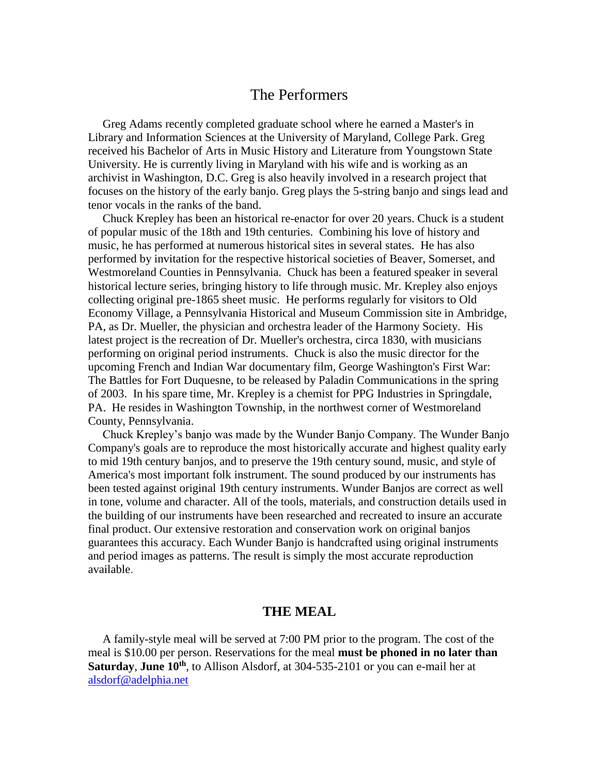#### The Performers

 Greg Adams recently completed graduate school where he earned a Master's in Library and Information Sciences at the University of Maryland, College Park. Greg received his Bachelor of Arts in Music History and Literature from Youngstown State University. He is currently living in Maryland with his wife and is working as an archivist in Washington, D.C. Greg is also heavily involved in a research project that focuses on the history of the early banjo. Greg plays the 5-string banjo and sings lead and tenor vocals in the ranks of the band.

 Chuck Krepley has been an historical re-enactor for over 20 years. Chuck is a student of popular music of the 18th and 19th centuries. Combining his love of history and music, he has performed at numerous historical sites in several states. He has also performed by invitation for the respective historical societies of Beaver, Somerset, and Westmoreland Counties in Pennsylvania. Chuck has been a featured speaker in several historical lecture series, bringing history to life through music. Mr. Krepley also enjoys collecting original pre-1865 sheet music. He performs regularly for visitors to Old Economy Village, a Pennsylvania Historical and Museum Commission site in Ambridge, PA, as Dr. Mueller, the physician and orchestra leader of the Harmony Society. His latest project is the recreation of Dr. Mueller's orchestra, circa 1830, with musicians performing on original period instruments. Chuck is also the music director for the upcoming French and Indian War documentary film, George Washington's First War: The Battles for Fort Duquesne, to be released by Paladin Communications in the spring of 2003. In his spare time, Mr. Krepley is a chemist for PPG Industries in Springdale, PA. He resides in Washington Township, in the northwest corner of Westmoreland County, Pennsylvania.

 Chuck Krepley's banjo was made by the Wunder Banjo Company. The Wunder Banjo Company's goals are to reproduce the most historically accurate and highest quality early to mid 19th century banjos, and to preserve the 19th century sound, music, and style of America's most important folk instrument. The sound produced by our instruments has been tested against original 19th century instruments. Wunder Banjos are correct as well in tone, volume and character. All of the tools, materials, and construction details used in the building of our instruments have been researched and recreated to insure an accurate final product. Our extensive restoration and conservation work on original banjos guarantees this accuracy. Each Wunder Banjo is handcrafted using original instruments and period images as patterns. The result is simply the most accurate reproduction available.

#### **THE MEAL**

 A family-style meal will be served at 7:00 PM prior to the program. The cost of the meal is \$10.00 per person. Reservations for the meal **must be phoned in no later than Saturday**, **June 10th**, to Allison Alsdorf, at 304-535-2101 or you can e-mail her at [alsdorf@adelphia.net](mailto:alsdorf@adelphia.net)